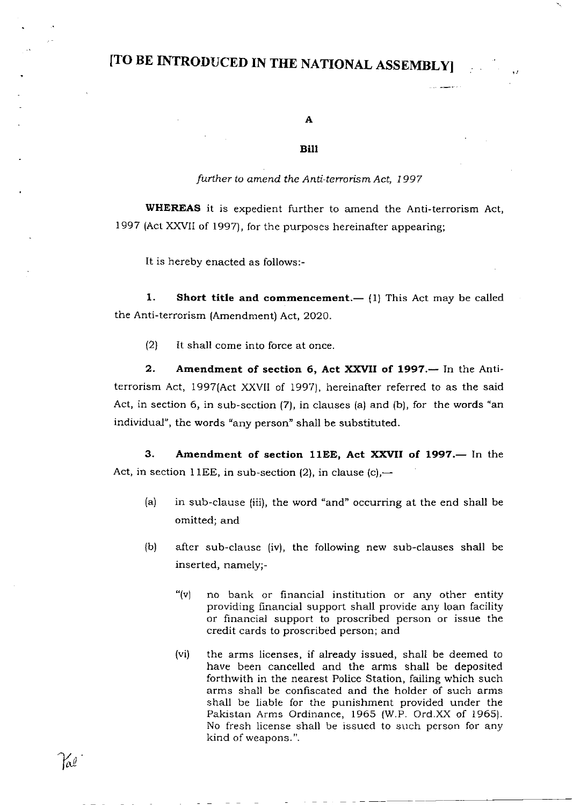### [TO BE INTRODUCED IN TIIE NATIONAL ASSEMBLY]

A

#### Bilt

#### further to amend the Anti-terrorism Act, 1997

WHEREAS it is expedient further to amend the Anti-terrorism Act, 1997 (Act XXVII of 1997), for the purposes hereinafter appearing;

It is hereby enacted as follows:-

1. Short title and commencement.  $-$  (1) This Act may be called the Anti-terrorism (Amendment) Act, 2020.

(2) It shall come into force at once.

2. Amendment of section 6, Act XXVII of 1997. - In the Antiterrorism Act, 1997(Act XXVII of 1997), hereinafter referred to as the said Act, in section 6, in sub-section (7), in clauses (a) and (b), for the words "an individual", the words "any person" shall be substituted.

3. Amendment of section 11EE, Act XXVII of 1997.- In the Act, in section 11EE, in sub-section (2), in clause (c),—

- (a) in sub-clause (iii), the word "and" occurring at the end shall be omitted; and
- (b) after sub-clause (iv), the following new sub-clauses shall be inserted, namely;-
	- "(v) no bank or financial institution or any other entity providing flrnancial support shall provide any loan facility or financial support to proscribed person or issue the credit cards to proscribed person; and
	- (vi) the arms licenses, if already issued, shall be deemed to have been cancelled and the arms shall be deposited forthwith in the nearest Police Station, failing which such arms shall be confiscated and the holder of such arms shall be liable for the punishment provided under the Pakistan Arms Ordinance, 1965 (W.P. Ord.XX of 1965). No fresh license shall be issued to such person for any kind of weapons. ".

 $\mathcal{H}_{\ell}$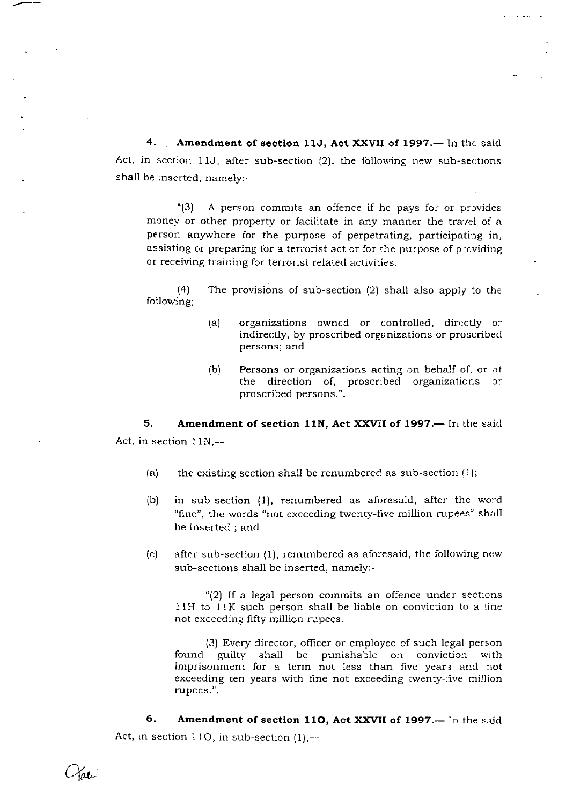4. Amendment of section 11J, Act XXVII of 1997. - In the said Act, in section 11J, after sub-section  $(2)$ , the following new sub-sections shall be :nserted, namely:-

" $(3)$  A person commits an offence if he pays for or provides money or other property or facilitate in any manner the travel of a person anywhere for the purpose of perpetrating, participating in, assisting or preparing for a terrorist act or for the purpose of p:oviding or receiving training for terrorist related activities.

(4) The provisions of sub-section (2) shall also apply to the following;

- (a) organizations owned or controlled, directly or indirectly, by proscribed organizations or proscribecl persons; and
- $(b)$  Persons or organizations acting on behalf of, or at the direction of, proscribed organizations or proscribed persons.".

5. Amendment of section 11N, Act XXVII of 1997.— In the said Act, in section  $11N, -$ 

- (a) the existing section shall be renumbered as sub-section  $(1)$ ;
- (b) in sub-section (l), renumbered as aforesaid, after the word "fine", the words "not exceeding twenty-five million rupees" shall be inserted ; and
- (c) after sub-section  $(1)$ , renumbered as aforesaid, the following new sub-sections shall be inserted, namely:-

"(21 lf a legal person commits an offence under sections 1lH to llK such person shall be liable on conviction to a tine not exceeding fifty million rupees.

(3) Every director, officer or employee of such legal person found guilty shall be punishable on conviction with imprisonment for a term not less than five years and not exceeding ten years with fine not exceeding twenty-:ive million rupees.".

6. Amendment of section 110, Act XXVII of 1997.— In the said Act, in section 110, in sub-section  $(1)$ ,-

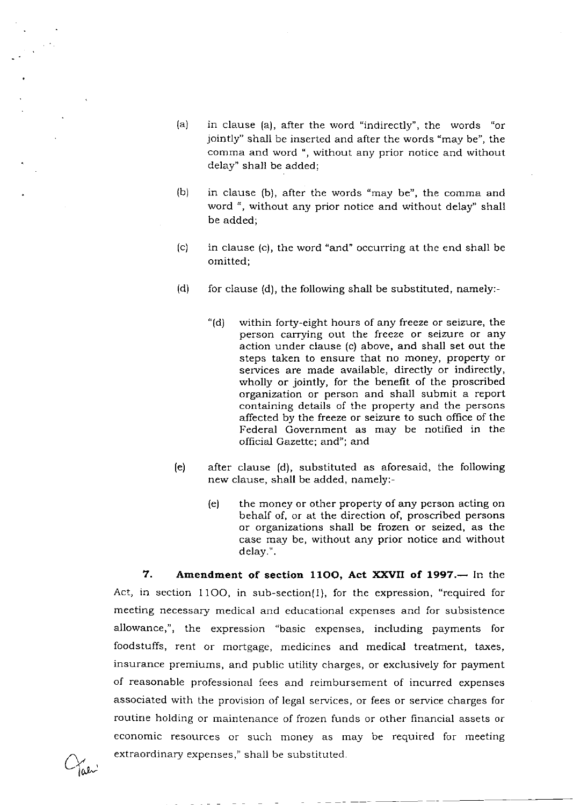- $(a)$  in clause  $(a)$ , after the word "indirectly", the words "or jointly" shall be inserted and after the words "may be", the comma and word ", without any prior notice and without delay" shall be added;
- (b) in clause (b), alter the words "may be", the comma and word ", without any prior notice and without delay" shall be added;
- (c) in clause (c), the word "and" occurring at the end shall be omitted;
- (d) for clause (d), the following shall be substituted, namely:-
	- "(d) within forty-eight hours of any freeze or seizure, the person carrying out the freeze or seizure or any action under clause (c) above, and shall set out the steps taken to ensure that no money, property or services are made available, directly or indirectly, wholly or jointly, for the benefit of the proscribed organization or person and shall submit a report containing details of the property and the persons affected by the freeze or seizure to such office of the Federal Government as may be notified in the official Gazette; and"; and
- (e) after clause (d), substituted as aforesaid, the following new clause, shall be added, namely:-
	- (e) the money or other property of any person acting on behalf of, or at the direction of, proscribed persons or organizations shall be frozen or seized, as the case may be, without any prior notice and without delay.".

7. Amendment of section 1100, Act XXVII of 1997. - In the Act, in section 11OO, in sub-section{l), for the expression, "required for meeting necessary medical and educational expenses and for subsistence allowance,", the expression "basic expenses, including payments for foodstuffs, rent or mortgage, medicines and medical treatment, taxes, insurance premiums, and public utility charges, or exclusively for payment of reasonable professional fees and reimbursement of incurred expenses associated with the provision of legal services, or fees or service charges for routine holding or maintenance of frozen funds or other financial assets or economic resources or such money as may be required for meeting extraordinary expenses," shall be substituted.

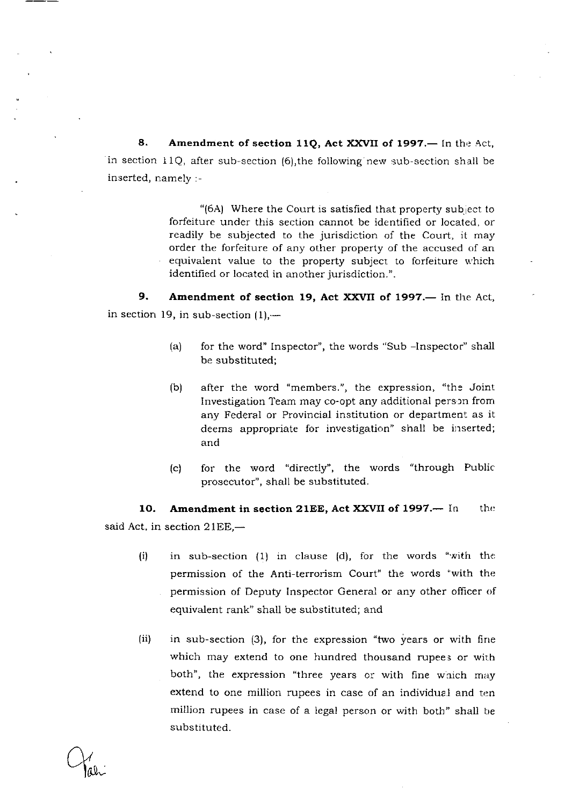8. Amendment of section 11Q, Act XXVII of 1997.— In the Act, in section I1Q, after sub-section (6),the following new sub-section shall be inserted, namely :-

> "(6A) Where the Court is satisfied that property subject to forfeiture under this section cannot be identified or located. or readily be subjected to the jurisdiction of the Court, it may order the forfeiture of any other property of the accused of an equivalent value to the property subject to forfeiture u'hich identified or located in another jurisdiction.".

9. Amendment of section 19, Act XXVII of 1997.- In the Act, in section 19, in sub-section  $(1)$ ,—

- (a) for the word" lnspector", the words "Sub -Inspector" shall be substituted;
- (b) after the word "members.", the expression, "the Joint Investigation Team may co-opt any additional person from any Federal or Provincial institution or department as it deems appropriate for investigation" shall be inserted; and
- (c) for the word "directly", the words "through Public prosecutor", shall be substituted.

10. Amendment in section 21EE, Act XXVII of 1997.-- In said Act, in section  $21EE$ , $$ the

- in sub-section  $(1)$  in clause  $(d)$ , for the words "with the permission of the Anti-terrorism Court" the words ''with the permission of Deputy Inspector General or any other officer of equivalent rank" shall be substituted; and (i)
- in sub-section (3), for the expression "two years or with fine which may extend to one hundred thousand rupees or with both", the expression "three years or with fine which may extend to one million rupees in case of an individual and ten million rupees in case of a legal person or with both" shall be substituted. (ii)

Ltt'-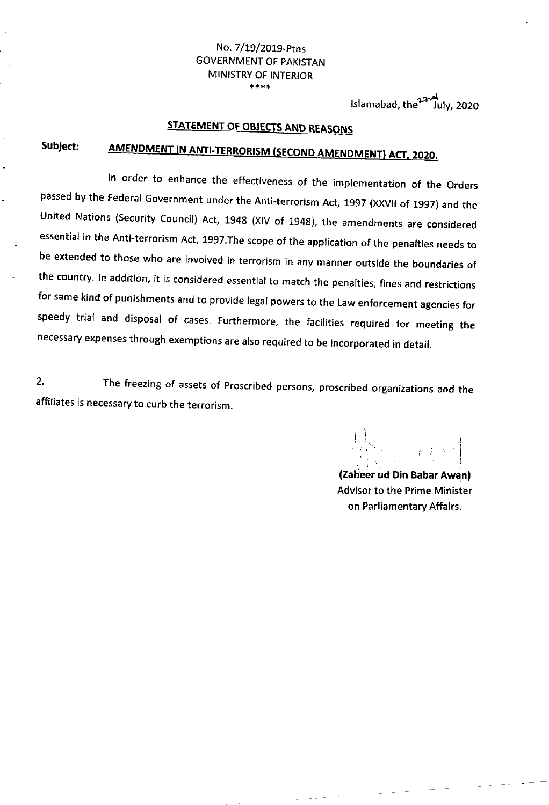#### No. 7/19/2019-Ptns GOVERNMENT OF PAKISTAN MINISTRY OF INTERIOR +\*+\*

Islamabad, the<sup>12</sup> July, 2020

#### <u>TATEMENT OF OBJECTS AND R</u>

## Subject: <u>AMENDMENT IN ANTI-TERRORISM (SECOND AMENDMENT) ACT</u>

In order to enhance the effectiveness of the implementation of the Orders passed by the Federal Government under the Anti-terrorism Act, 1997 (XXVII of 1997) and the United Nations (Security Council) Act, 1948 (XIV of 1948), the amendments are considered essential in the Anti-terrorism Act, 1997. The scope of the application of the penalties needs to be extended to those who are involved in terrorism in any manner outside the boundaries of the country. In addition, it is considered essential to match the penalties, fines and restrictions for same kind of punishments and to provide legal powers to the Law enforcement agencies for speedy trial and disposal of cases. Furthermore, the facilities required for meeting the necessary expenses through exemptions are also required to be incorporated in detail.

2. The freezing of assets of Proscribed persons, proscribed organizations and the affiliates is necessary to curb the terrorism.

(Zaheer ud Din Babar Awan) Advisor to the Prime Minister on Parliamentary Affairs.

 $\frac{1}{2} \frac{1}{2} \frac{1}{2} \frac{1}{2} \frac{1}{2} \frac{1}{2} \frac{1}{2} \frac{1}{2} \frac{1}{2} \frac{1}{2} \frac{1}{2} \frac{1}{2} \frac{1}{2} \frac{1}{2} \frac{1}{2} \frac{1}{2} \frac{1}{2} \frac{1}{2} \frac{1}{2} \frac{1}{2} \frac{1}{2} \frac{1}{2} \frac{1}{2} \frac{1}{2} \frac{1}{2} \frac{1}{2} \frac{1}{2} \frac{1}{2} \frac{1}{2} \frac{1}{2} \frac{1}{2} \frac{$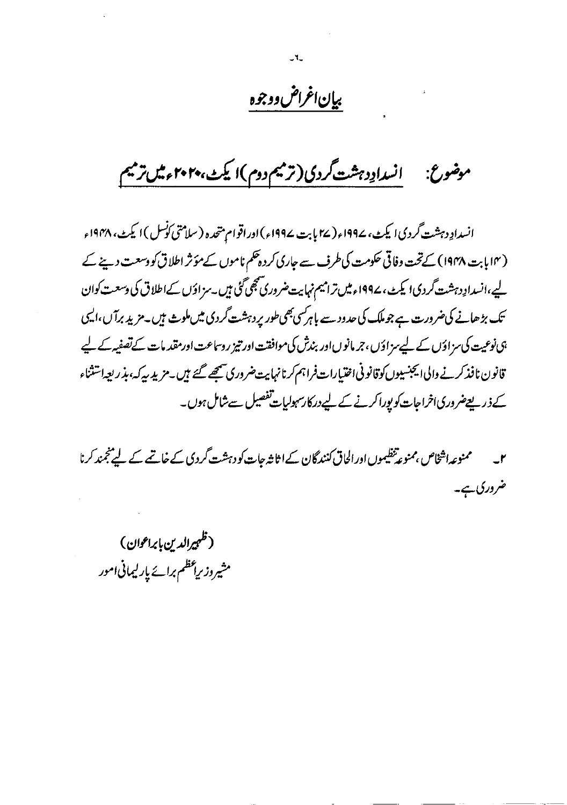# بيإن اغراض ووجوه

 $-1$ 

انسدادِدہشت گردی(ترمیم دوم)ا یکٹ،۲۰۲۰ءمیںترمیم موضوع:

انسدادِ دہشت گردی ایکٹ، ۱۹۹۷ء( ۲۷ بابت ۱۹۹۷ء) اور اقوام متحدہ (سلامتی کونس) ایکٹ، ۱۹۴۸ء (۱۴ بابت ۱۹۴۸) کے تحت وفاقی حکومت کی طرف سے جاری کردہ تھم ناموں کے مؤثر اطلاق کو دسعت دینے کے لیے،انسدادِ دہشت گردی! یکٹ، ۱۹۹۷ء میں ترامیم نہایت ضروری تھجی گئی ہیں۔سزادَں کےاطلاق کی دسعت کوان تک بڑھانے کی ضرورت ہے جو ملک کی حدود سے باہر سی بھی طور پر دہشت گردی میں ملوث ہیں۔ مزید برآ ں،ایسی ہی نوعیت کی سزاؤں کے لیے سزاؤں، جرمانوں اور بندش کی موافقت اور تیز روساعت اور مقدمات کے تصفیہ کے لیے قانون نافذ کرنے والی ایجنسیوں کوقانو نی اختیارات فراہم کرنانہایت ضروری سمجھے گئے ہیں۔مزید سپرکہ، بذریعہ اشتثاء کے ذریعےضروری اخراجات کو بورا کرنے کے لیے درکارسہولیات تفصیل سے شامل ہوں۔

ممنوعہ اشخاص بمنوعہ تنظیموں اور الحاق کنندگان کے اثاثہ جات کو دہشت گردی کے خاتمے کے لیے نجمند کرنا  $-**r**$ ضروری ہے۔

(ظہیرالدین بابراعوان) مشیروز براعظم برائے پارلیمانی امور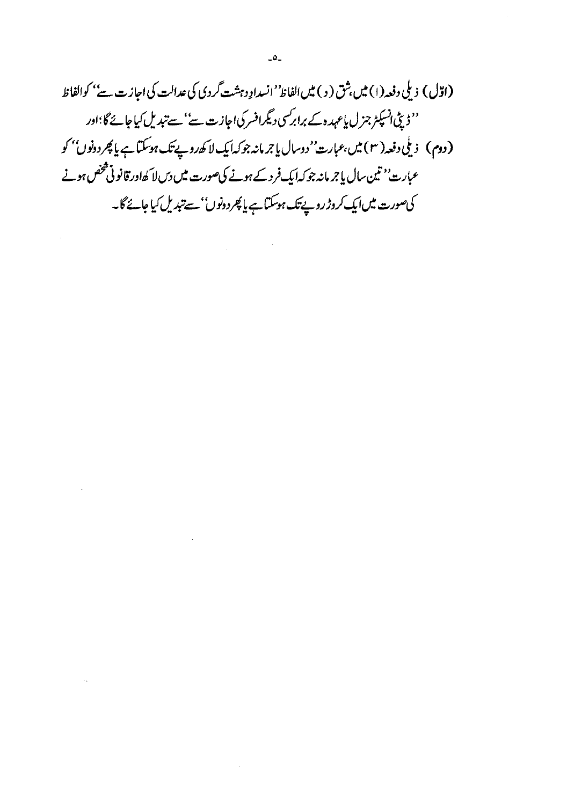(اوّل) ذیلی دفعہ (۱) میں شق ( د ) میں الفاظ''انسدادِ دہشت گردی کی عدالت کی اجازت سے'' کوالفاظ ''ڈیٹی انسپکٹر جزل پاعہدہ کے برابرکسی دیگرافسر کی اجازت سے'' سے تبدیل کیاجائے گا؛اور (دوم) زىلى دفعه ( ۳ ) ميں،عمارت' دوسال يا جرمانه جوكہا يك لا ك*ەر*وپے تك ہوسكتا ہے يا پھر دونوں'' كو عبارت'<sup>د</sup> تین سال پاجر مانہ جو کہ ایک فرد کے ہونے کی صورت میں دس لا کھاور قانو ٹی شخص ہونے کی صورت میں ایک کروڑ روپے تک ہوسکتا ہے یا پھر دونوں'' سے تبدیل کیا جائے گا۔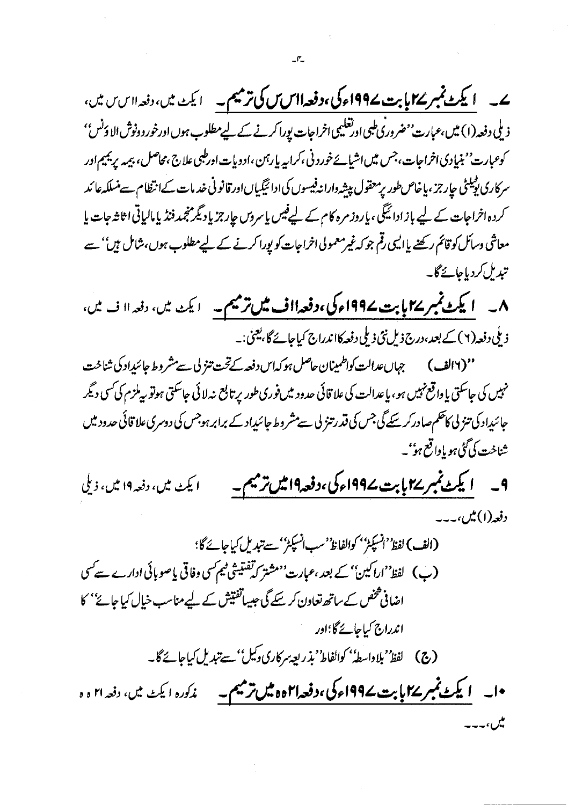ے۔ ایکٹ نمبر ۱۷یت ۱۹۹۷ء کی،دفعہ ااس س کی ترمیم۔ ایک میں، دفعہ ااس میں، ذیلی دفعہ (۱) میں،عبارت 'مفروری طبی اورتعلیمی اخراجات یورا کرنے کے لیے مطلوب ہوں اورخور دونوش الا دَنس' ۔<br>کوعبارت<sup>ی م</sup>بنیادی اخراجات، جس میں اشیائے خورد نی،کرایہ بارہن ،ادوبات اورطبی علاج ،محاصل، بیمہ پریمیم اور سرکاری پیپلٹی حارجز ،پاخاص طور پرمعقول پیشہ داراندفیسوں کی ادائیگیاںاور قانونی خدمات کےانتظام سے منسلکہ عائد کردہ اخراجات کے لیے باز ادائیگی، یاروز مرہ کام کے لیےفیس یاسروں جارجز یاد ٹیمر نجمد فنڈ یا مالیاتی اثاثہ جات یا معاشی وسائل کو قائم رکھنے یاالیں رقم جو کہ غیرمعمولی اخراجات کو پورا کرنے کے لیےمطلوب ہوں،شامل ہیں'' سے تېدىل كردېاجائےگا۔

نہیں کی جاسکتی یا واقع *نہیں ہو*، یاعدالت کی علاقائی حدود میں فوری طور پر تابع نہ لائی جاسکتی ہوتو پی**لزم کی کسی دیگر** جائیداد کی تنز لی کاحکم صادر کرسکے گی جس کی قدرتنز لی سے مشر وط جائیداد کے برابر ہوجس کی دوسری علا قائی حدود میں شناخت کی گ<sup>ئ</sup>ی ہو یاواقع ہو''۔

۹\_\_ ایکٹ نمبر ۲۷ پابت ۱۹۹۷ء کی،دفعہ۱۹ میں ترمیم۔ ا يکٹ ميں، دفعہ ١٩ ميں، ذيلي دفعه (۱) میں ،۔۔۔

(الف) لفظ<sup>و د</sup>انسپکٹر'' کوالفاظ''سب انسپکٹر'' سے تبدیل کیاجائے گا؛ (ب) لفظ''اراکین'' کے بعد ،عبارت''مشتر کہ تفتیشی ٹیم کسی وفاقی پا صوبائی ادارے سے کسی اضافی گھنٹ کے ساتھ تعاون کر سکے گی جیساتفتیش کے لیے مناسب خیال کیا جائے'' کا اندراج کیاجائے گا؛اور •ا۔ **ایکٹ نمبر ۱۷ بابت ۱۹۹۷ء کی،دفعہا۲ہ ہیں ترمیم۔** غم<sup>ک</sup>ورہ ایکٹ میں، دفعہ ۲۱ ہ ہ یکن،۔۔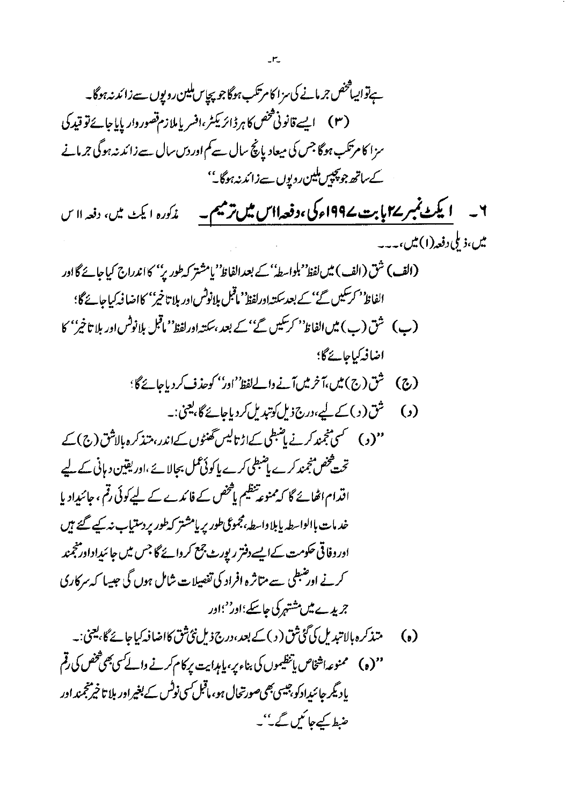$$
\sum_{i=1}^{n} \sum_{j=1}^{n} \sum_{j=1}^{n} \sum_{j=1}^{n} \sum_{j=1}^{n} \sum_{j=1}^{n} \sum_{j=1}^{n} \sum_{j=1}^{n} \sum_{j=1}^{n} \sum_{j=1}^{n} \sum_{j=1}^{n} \sum_{j=1}^{n} \sum_{j=1}^{n} \sum_{j=1}^{n} \sum_{j=1}^{n} \sum_{j=1}^{n} \sum_{j=1}^{n} \sum_{j=1}^{n} \sum_{j=1}^{n} \sum_{j=1}^{n} \sum_{j=1}^{n} \sum_{j=1}^{n} \sum_{j=1}^{n} \sum_{j=1}^{n} \sum_{j=1}^{n} \sum_{j=1}^{n} \sum_{j=1}^{n} \sum_{j=1}^{n} \sum_{j=1}^{n} \sum_{j=1}^{n} \sum_{j=1}^{n} \sum_{j=1}^{n} \sum_{j=1}^{n} \sum_{j=1}^{n} \sum_{j=1}^{n} \sum_{j=1}^{n} \sum_{j=1}^{n} \sum_{j=1}^{n} \sum_{j=1}^{n} \sum_{j=1}^{n} \sum_{j=1}^{n} \sum_{j=1}^{n} \sum_{j=1}^{n} \sum_{j=1}^{n} \sum_{j=1}^{n} \sum_{j=1}^{n} \sum_{j=1}^{n} \sum_{j=1}^{n} \sum_{j=1}^{n} \sum_{j=1}^{n} \sum_{j=1}^{n} \sum_{j=1}^{n} \sum_{j=1}^{n} \sum_{j=1}^{n} \sum_{j=1}^{n} \sum_{j=1}^{n} \sum_{j=1}^{n} \sum_{j=1}^{n} \sum_{j=1}^{n} \sum_{j=1}^{n} \sum_{j=1}^{n} \sum_{j=1}^{n} \sum_{j=1}^{n} \sum_{j=1}^{n} \sum_{j=1}^{n} \sum_{j=1}^{n} \sum_{j=1}^{n} \sum_{j=1}^{n} \sum_{j=1}^{n} \sum_{j=1}^{n} \sum_{j=1}^{n} \sum_{j=1}^{n} \sum_{j=1}^{n} \sum_{j=1}^{n} \sum_{j=1}^{n} \sum_{j=1}^{n
$$

 $\mathbb{Z}\mathsf{P}\mathbb{Z}$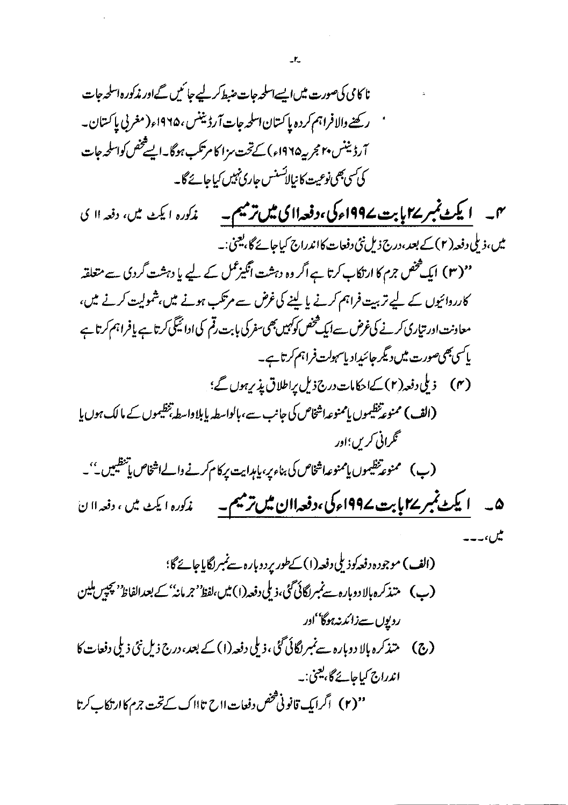اندراج کیاجائے گا،یعنی:۔

روپوں سےزائد نہ ہوگا''ادر

''(۲) اگرایک قانونی *شخص* دفعات ااح تاااک کے تحت جرم کاارتکاب کرتا